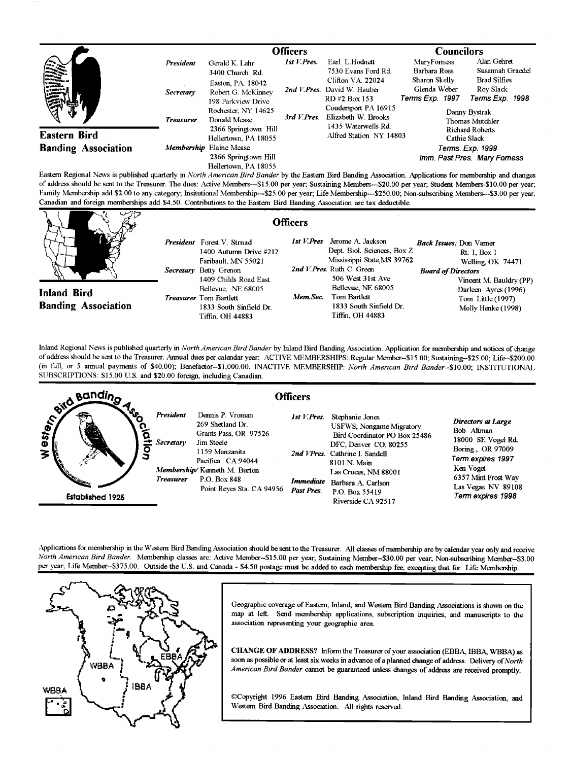|                                                           |                                      | <b>Officers</b>                                                                                                                           |                            |                                                                                                                                                          | <b>Councilors</b>                                                                   |                                                                                                                            |
|-----------------------------------------------------------|--------------------------------------|-------------------------------------------------------------------------------------------------------------------------------------------|----------------------------|----------------------------------------------------------------------------------------------------------------------------------------------------------|-------------------------------------------------------------------------------------|----------------------------------------------------------------------------------------------------------------------------|
| President<br><b>Vinking</b><br>Military<br>Military<br>YÞ | <b>Secretary</b><br><b>Treasurer</b> | Gerald K. Lahr<br>3400 Church Rd.<br>Easton, PA. 18042<br>Robert G. McKinney<br>198 Parkview Drive<br>Rochester, NY 14625<br>Donald Mease | 1st V.Pres.<br>3rd V.Pres. | Earl L.Hodnett<br>7530 Evans Ford Rd.<br>Clifton VA. 22024<br>2nd V.Pres. David W. Hauber<br>RD#2 Box 153<br>Coudersport PA 16915<br>Elizabeth W. Brooks | MaryForness<br>Barbara Ross<br>Sharon Skelly<br>Glenda Weber<br>Terms Exp. 1997     | Alan Gehret<br>Susannah Graedel<br><b>Brad Silfies</b><br>Rov Slack<br>Terms Exp. 1998<br>Danny Bystrak<br>Thomas Mutchler |
| <b>Eastern Bird</b><br><b>Banding Association</b>         |                                      | 2366 Springtown Hill<br>Hellertown, PA 18055<br>Membership Elaine Mease<br>2366 Springtown Hill<br>Hellertown, PA 18055                   |                            | 1435 Waterwells Rd.<br>Alfred Station NY 14803                                                                                                           | Richard Roberts<br>Cathie Slack<br>Terms. Exp. 1999<br>Imm. Past Pres. Mary Forness |                                                                                                                            |

**Eastern Regional News is published quarterly in North American BirdBander by the Eastern Bird Banding Association. Applications for membership and changes of address should be sent to the Treasurer. The dues: Active Members---S15.00 per year; Sustaining Members---S20.00 per year; Student Members-S10.00 per year;**  Family Membership add \$2.00 to any category; Insitutional Membership---\$25.00 per year; Life Membership---\$250.00; Non-subscribing Members---\$3.00 per year. Canadian and foreign memberships add \$4.50. Contributions to the Eastern Bird Banding Association are tax deductible.

| いンパチ                                             | <b>Officers</b>                                                                                                                                             |                                                                                                                                                                         |                                                                                                                    |
|--------------------------------------------------|-------------------------------------------------------------------------------------------------------------------------------------------------------------|-------------------------------------------------------------------------------------------------------------------------------------------------------------------------|--------------------------------------------------------------------------------------------------------------------|
| <b>Inland Bird</b><br><b>Banding Association</b> | <b>President</b> Forest V. Strnad<br>1400 Autumn Drive #212<br>Faribault, MN 55021<br>Secretary Betty Grenon<br>1409 Childs Road East<br>Bellevue. NE 68005 | 1st V.Pres<br>Jerome A. Jackson<br>Dept. Biol. Sciences, Box Z.<br>Mississippi State, MS 39762<br>2nd V. Pres. Ruth C. Green<br>506 West 31st Ave<br>Bellevue, NE 68005 | Back Issues: Don Vamer<br>Rt. 1. Box 1<br>Welling OK 74471<br><b>Board of Directors</b><br>Vincent M. Bauldry (PP) |
|                                                  | Treasurer Tom Bartlett<br>1833 South Sinfield Dr.<br>Tiffin, OH 44883                                                                                       | Mem Sec.<br>Tom Bartlett<br>1833 South Sinfield Dr.<br>Tiffin. OH 44883                                                                                                 | Darleen Ayres (1996)<br>Tom Little (1997)<br>Molly Henke (1998)                                                    |

**Inland Regional News is published quarterly in North American Bird Bander by Inland Bird Banding Association. Application formembemhip and notices ofchange of addresshould be sent to the Treasurer. Annual dues per calendar year: ACTIVE MEMBERSHIPS: Regular Member--S15.00; Sustaining--S25.00; Life--S200.00 (in full, or 5 annual payments of \$40.00): Benefactor--S1,000.00. INACTIVE MEMBERSHIP: North American Bird Bander--S10.00; INSTITUTIONAL**  SUBSCRIPTIONS: \$15.00 U.S. and \$20.00 foreign, including Canadian.



Applications for membership in the Western Bird Banding Association should be sent to the Treasurer. All classes of membership are by calendar year only and receive North American Bird Bander. Membership classes are: Active Member--\$15.00 per year; Sustaining Member--\$30.00 per year; Non-subscribing Member--\$3.00 per year; Life Member--\$375.00. Outside the U.S. and Canada - \$4.50 postage must be added to each membership fee, excepting that for Life Membership.



Geographic coverage of Eastern, Inland, and Western Bird Banding Associations is shown on the map at left. Send membership applications, subscription inquiries, and manuscripts to the **association representing your geographic area.** 

**CHANGE OF ADDRESS?** Inform the Treasurer of your association (EBBA, IBBA, WBBA) as soon as possible or at least six weeks in advance of a planned change of address. Delivery of North American Bird Bander cannot be guaranteed unless changes of address are received promptly.

**¸Copyright 1996 Eastern Bird Banding Association, Inland Bird Banding Association, and**  Western Bird Banding Association. All rights reserved.